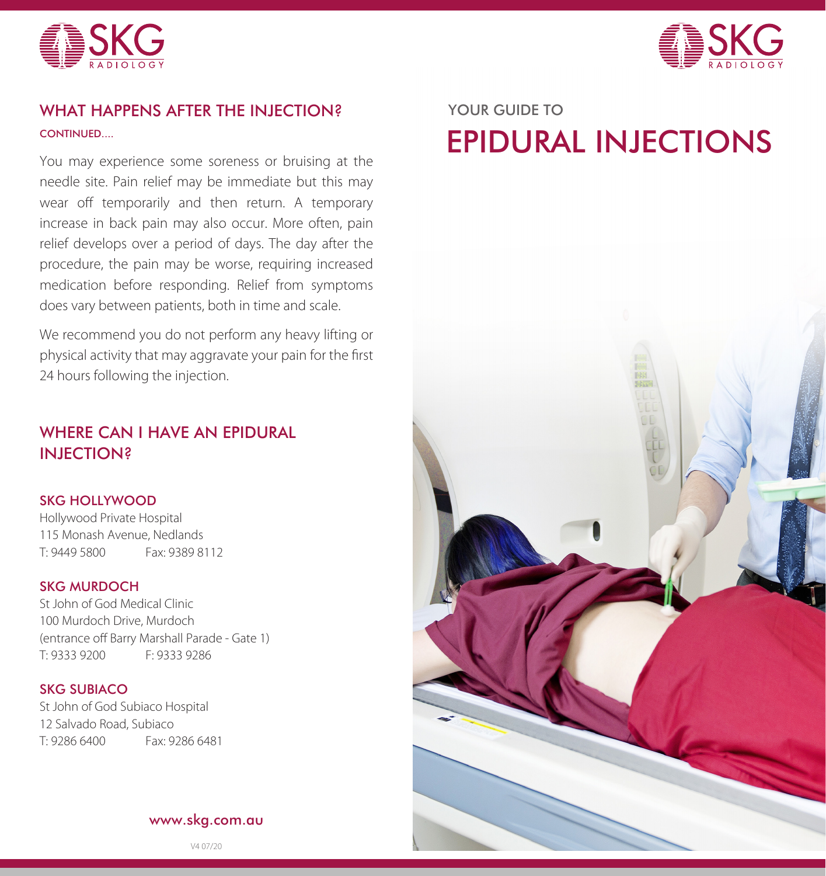



# WHAT HAPPENS AFTER THE INJECTION? YOUR GUIDE TO **CONTINUED.**

You may experience some soreness or bruising at the needle site. Pain relief may be immediate but this may wear off temporarily and then return. A temporary increase in back pain may also occur. More often, pain relief develops over a period of days. The day after the procedure, the pain may be worse, requiring increased medication before responding. Relief from symptoms does vary between patients, both in time and scale.

We recommend you do not perform any heavy lifting or physical activity that may aggravate your pain for the first 24 hours following the injection.

# WHERE CAN I HAVE AN EPIDURAL INJECTION?

### SKG HOLLYWOOD

Hollywood Private Hospital 115 Monash Avenue, Nedlands T: 9449 5800 Fax: 9389 8112

### SKG MURDOCH

St John of God Medical Clinic 100 Murdoch Drive, Murdoch (entrance off Barry Marshall Parade - Gate 1) T: 9333 9200 F: 9333 9286

### SKG SUBIACO

St John of God Subiaco Hospital 12 Salvado Road, Subiaco T: 9286 6400 Fax: 9286 6481

### www.skg.com.au

V4 07/20

# EPIDURAL INJECTIONS